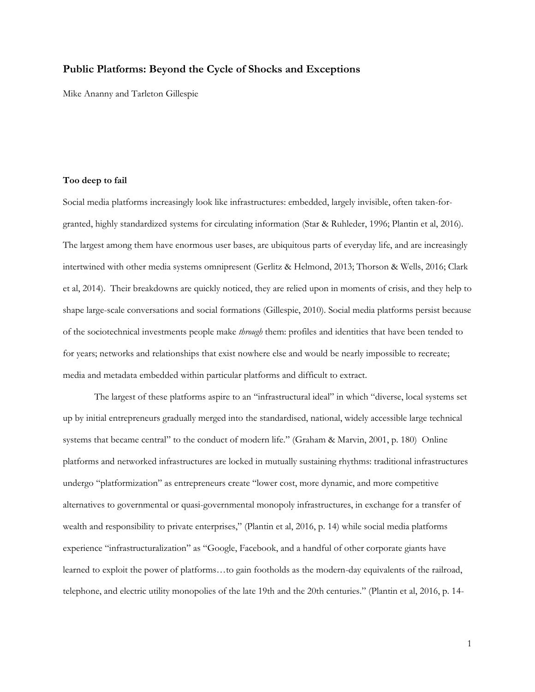# **Public Platforms: Beyond the Cycle of Shocks and Exceptions**

Mike Ananny and Tarleton Gillespie

## **Too deep to fail**

Social media platforms increasingly look like infrastructures: embedded, largely invisible, often taken-forgranted, highly standardized systems for circulating information (Star & Ruhleder, 1996; Plantin et al, 2016). The largest among them have enormous user bases, are ubiquitous parts of everyday life, and are increasingly intertwined with other media systems omnipresent (Gerlitz & Helmond, 2013; Thorson & Wells, 2016; Clark et al, 2014). Their breakdowns are quickly noticed, they are relied upon in moments of crisis, and they help to shape large-scale conversations and social formations (Gillespie, 2010). Social media platforms persist because of the sociotechnical investments people make *through* them: profiles and identities that have been tended to for years; networks and relationships that exist nowhere else and would be nearly impossible to recreate; media and metadata embedded within particular platforms and difficult to extract.

The largest of these platforms aspire to an "infrastructural ideal" in which "diverse, local systems set up by initial entrepreneurs gradually merged into the standardised, national, widely accessible large technical systems that became central" to the conduct of modern life." (Graham & Marvin, 2001, p. 180) Online platforms and networked infrastructures are locked in mutually sustaining rhythms: traditional infrastructures undergo "platformization" as entrepreneurs create "lower cost, more dynamic, and more competitive alternatives to governmental or quasi-governmental monopoly infrastructures, in exchange for a transfer of wealth and responsibility to private enterprises," (Plantin et al, 2016, p. 14) while social media platforms experience "infrastructuralization" as "Google, Facebook, and a handful of other corporate giants have learned to exploit the power of platforms…to gain footholds as the modern-day equivalents of the railroad, telephone, and electric utility monopolies of the late 19th and the 20th centuries." (Plantin et al, 2016, p. 14-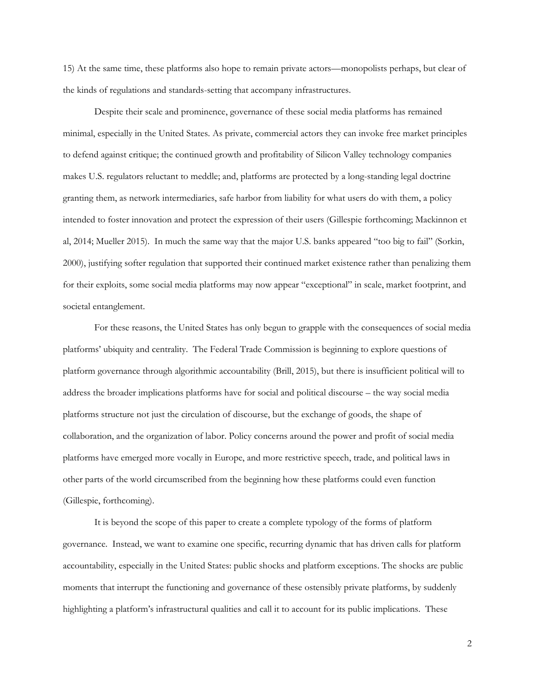15) At the same time, these platforms also hope to remain private actors—monopolists perhaps, but clear of the kinds of regulations and standards-setting that accompany infrastructures.

Despite their scale and prominence, governance of these social media platforms has remained minimal, especially in the United States. As private, commercial actors they can invoke free market principles to defend against critique; the continued growth and profitability of Silicon Valley technology companies makes U.S. regulators reluctant to meddle; and, platforms are protected by a long-standing legal doctrine granting them, as network intermediaries, safe harbor from liability for what users do with them, a policy intended to foster innovation and protect the expression of their users (Gillespie forthcoming; Mackinnon et al, 2014; Mueller 2015). In much the same way that the major U.S. banks appeared "too big to fail" (Sorkin, 2000), justifying softer regulation that supported their continued market existence rather than penalizing them for their exploits, some social media platforms may now appear "exceptional" in scale, market footprint, and societal entanglement.

For these reasons, the United States has only begun to grapple with the consequences of social media platforms' ubiquity and centrality. The Federal Trade Commission is beginning to explore questions of platform governance through algorithmic accountability (Brill, 2015), but there is insufficient political will to address the broader implications platforms have for social and political discourse – the way social media platforms structure not just the circulation of discourse, but the exchange of goods, the shape of collaboration, and the organization of labor. Policy concerns around the power and profit of social media platforms have emerged more vocally in Europe, and more restrictive speech, trade, and political laws in other parts of the world circumscribed from the beginning how these platforms could even function (Gillespie, forthcoming).

It is beyond the scope of this paper to create a complete typology of the forms of platform governance. Instead, we want to examine one specific, recurring dynamic that has driven calls for platform accountability, especially in the United States: public shocks and platform exceptions. The shocks are public moments that interrupt the functioning and governance of these ostensibly private platforms, by suddenly highlighting a platform's infrastructural qualities and call it to account for its public implications. These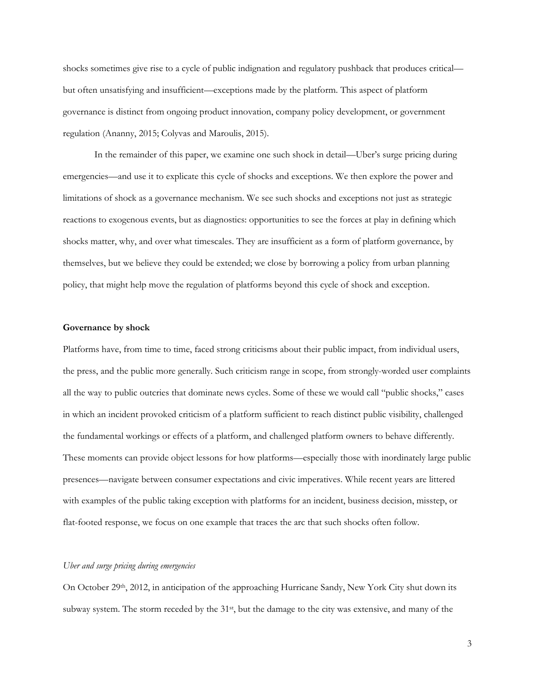shocks sometimes give rise to a cycle of public indignation and regulatory pushback that produces critical but often unsatisfying and insufficient—exceptions made by the platform. This aspect of platform governance is distinct from ongoing product innovation, company policy development, or government regulation (Ananny, 2015; Colyvas and Maroulis, 2015).

In the remainder of this paper, we examine one such shock in detail—Uber's surge pricing during emergencies—and use it to explicate this cycle of shocks and exceptions. We then explore the power and limitations of shock as a governance mechanism. We see such shocks and exceptions not just as strategic reactions to exogenous events, but as diagnostics: opportunities to see the forces at play in defining which shocks matter, why, and over what timescales. They are insufficient as a form of platform governance, by themselves, but we believe they could be extended; we close by borrowing a policy from urban planning policy, that might help move the regulation of platforms beyond this cycle of shock and exception.

#### **Governance by shock**

Platforms have, from time to time, faced strong criticisms about their public impact, from individual users, the press, and the public more generally. Such criticism range in scope, from strongly-worded user complaints all the way to public outcries that dominate news cycles. Some of these we would call "public shocks," cases in which an incident provoked criticism of a platform sufficient to reach distinct public visibility, challenged the fundamental workings or effects of a platform, and challenged platform owners to behave differently. These moments can provide object lessons for how platforms—especially those with inordinately large public presences—navigate between consumer expectations and civic imperatives. While recent years are littered with examples of the public taking exception with platforms for an incident, business decision, misstep, or flat-footed response, we focus on one example that traces the arc that such shocks often follow.

## *Uber and surge pricing during emergencies*

On October 29<sup>th</sup>, 2012, in anticipation of the approaching Hurricane Sandy, New York City shut down its subway system. The storm receded by the 31<sup>st</sup>, but the damage to the city was extensive, and many of the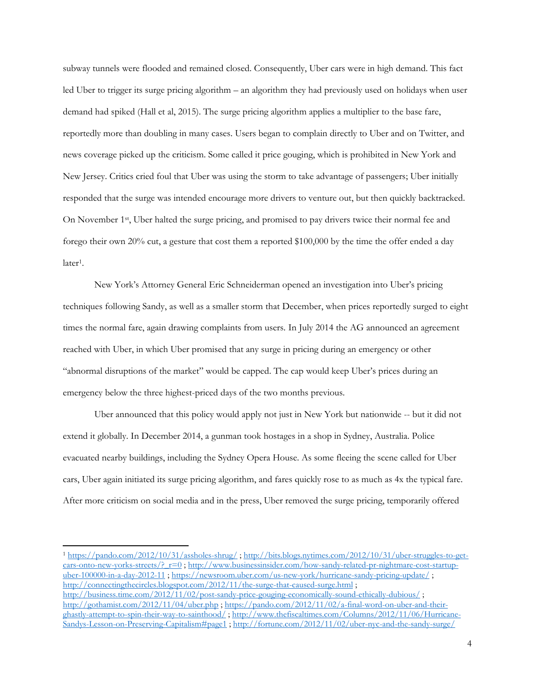subway tunnels were flooded and remained closed. Consequently, Uber cars were in high demand. This fact led Uber to trigger its surge pricing algorithm – an algorithm they had previously used on holidays when user demand had spiked (Hall et al, 2015). The surge pricing algorithm applies a multiplier to the base fare, reportedly more than doubling in many cases. Users began to complain directly to Uber and on Twitter, and news coverage picked up the criticism. Some called it price gouging, which is prohibited in New York and New Jersey. Critics cried foul that Uber was using the storm to take advantage of passengers; Uber initially responded that the surge was intended encourage more drivers to venture out, but then quickly backtracked. On November 1<sup>st</sup>, Uber halted the surge pricing, and promised to pay drivers twice their normal fee and forego their own 20% cut, a gesture that cost them a reported \$100,000 by the time the offer ended a day later<sup>1</sup>.

New York's Attorney General Eric Schneiderman opened an investigation into Uber's pricing techniques following Sandy, as well as a smaller storm that December, when prices reportedly surged to eight times the normal fare, again drawing complaints from users. In July 2014 the AG announced an agreement reached with Uber, in which Uber promised that any surge in pricing during an emergency or other "abnormal disruptions of the market" would be capped. The cap would keep Uber's prices during an emergency below the three highest-priced days of the two months previous.

Uber announced that this policy would apply not just in New York but nationwide -- but it did not extend it globally. In December 2014, a gunman took hostages in a shop in Sydney, Australia. Police evacuated nearby buildings, including the Sydney Opera House. As some fleeing the scene called for Uber cars, Uber again initiated its surge pricing algorithm, and fares quickly rose to as much as 4x the typical fare. After more criticism on social media and in the press, Uber removed the surge pricing, temporarily offered

<sup>1</sup> <https://pando.com/2012/10/31/assholes-shrug/> ; [http://bits.blogs.nytimes.com/2012/10/31/uber-struggles-to-get](http://bits.blogs.nytimes.com/2012/10/31/uber-struggles-to-get-cars-onto-new-yorks-streets/?_r=0)cars-onto-new-yorks-streets/?  $r=0$ ; [http://www.businessinsider.com/how-sandy-related-pr-nightmare-cost-startup](http://www.businessinsider.com/how-sandy-related-pr-nightmare-cost-startup-uber-100000-in-a-day-2012-11)[uber-100000-in-a-day-2012-11](http://www.businessinsider.com/how-sandy-related-pr-nightmare-cost-startup-uber-100000-in-a-day-2012-11) ;<https://newsroom.uber.com/us-new-york/hurricane-sandy-pricing-update/> ; <http://connectingthecircles.blogspot.com/2012/11/the-surge-that-caused-surge.html> ; <http://business.time.com/2012/11/02/post-sandy-price-gouging-economically-sound-ethically-dubious/>; <http://gothamist.com/2012/11/04/uber.php> ; [https://pando.com/2012/11/02/a-final-word-on-uber-and-their](https://pando.com/2012/11/02/a-final-word-on-uber-and-their-ghastly-attempt-to-spin-their-way-to-sainthood/)[ghastly-attempt-to-spin-their-way-to-sainthood/](https://pando.com/2012/11/02/a-final-word-on-uber-and-their-ghastly-attempt-to-spin-their-way-to-sainthood/) [; http://www.thefiscaltimes.com/Columns/2012/11/06/Hurricane-](http://www.thefiscaltimes.com/Columns/2012/11/06/Hurricane-Sandys-Lesson-on-Preserving-Capitalism#page1)[Sandys-Lesson-on-Preserving-Capitalism#page1](http://www.thefiscaltimes.com/Columns/2012/11/06/Hurricane-Sandys-Lesson-on-Preserving-Capitalism#page1) ;<http://fortune.com/2012/11/02/uber-nyc-and-the-sandy-surge/>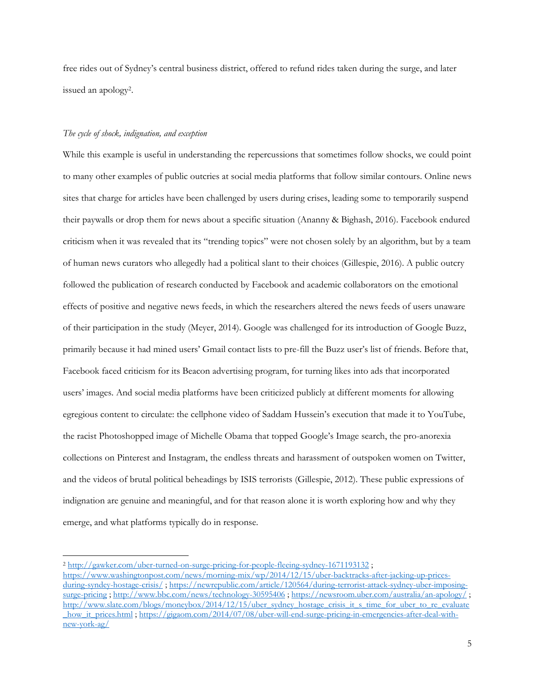free rides out of Sydney's central business district, offered to refund rides taken during the surge, and later issued an apology<sup>2</sup> .

## *The cycle of shock, indignation, and exception*

 $\overline{\phantom{a}}$ 

While this example is useful in understanding the repercussions that sometimes follow shocks, we could point to many other examples of public outcries at social media platforms that follow similar contours. Online news sites that charge for articles have been challenged by users during crises, leading some to temporarily suspend their paywalls or drop them for news about a specific situation (Ananny & Bighash, 2016). Facebook endured criticism when it was revealed that its "trending topics" were not chosen solely by an algorithm, but by a team of human news curators who allegedly had a political slant to their choices (Gillespie, 2016). A public outcry followed the publication of research conducted by Facebook and academic collaborators on the emotional effects of positive and negative news feeds, in which the researchers altered the news feeds of users unaware of their participation in the study (Meyer, 2014). Google was challenged for its introduction of Google Buzz, primarily because it had mined users' Gmail contact lists to pre-fill the Buzz user's list of friends. Before that, Facebook faced criticism for its Beacon advertising program, for turning likes into ads that incorporated users' images. And social media platforms have been criticized publicly at different moments for allowing egregious content to circulate: the cellphone video of Saddam Hussein's execution that made it to YouTube, the racist Photoshopped image of Michelle Obama that topped Google's Image search, the pro-anorexia collections on Pinterest and Instagram, the endless threats and harassment of outspoken women on Twitter, and the videos of brutal political beheadings by ISIS terrorists (Gillespie, 2012). These public expressions of indignation are genuine and meaningful, and for that reason alone it is worth exploring how and why they emerge, and what platforms typically do in response.

<sup>2</sup> <http://gawker.com/uber-turned-on-surge-pricing-for-people-fleeing-sydney-1671193132> ;

[https://www.washingtonpost.com/news/morning-mix/wp/2014/12/15/uber-backtracks-after-jacking-up-prices](https://www.washingtonpost.com/news/morning-mix/wp/2014/12/15/uber-backtracks-after-jacking-up-prices-during-syndey-hostage-crisis/)[during-syndey-hostage-crisis/](https://www.washingtonpost.com/news/morning-mix/wp/2014/12/15/uber-backtracks-after-jacking-up-prices-during-syndey-hostage-crisis/); [https://newrepublic.com/article/120564/during-terrorist-attack-sydney-uber-imposing](https://newrepublic.com/article/120564/during-terrorist-attack-sydney-uber-imposing-surge-pricing)[surge-pricing](https://newrepublic.com/article/120564/during-terrorist-attack-sydney-uber-imposing-surge-pricing)[; http://www.bbc.com/news/technology-30595406](http://www.bbc.com/news/technology-30595406)[; https://newsroom.uber.com/australia/an-apology/](https://newsroom.uber.com/australia/an-apology/); [http://www.slate.com/blogs/moneybox/2014/12/15/uber\\_sydney\\_hostage\\_crisis\\_it\\_s\\_time\\_for\\_uber\\_to\\_re\\_evaluate](http://www.slate.com/blogs/moneybox/2014/12/15/uber_sydney_hostage_crisis_it_s_time_for_uber_to_re_evaluate_how_it_prices.html) how\_it\_prices.html ; [https://gigaom.com/2014/07/08/uber-will-end-surge-pricing-in-emergencies-after-deal-with](https://gigaom.com/2014/07/08/uber-will-end-surge-pricing-in-emergencies-after-deal-with-new-york-ag/)[new-york-ag/](https://gigaom.com/2014/07/08/uber-will-end-surge-pricing-in-emergencies-after-deal-with-new-york-ag/)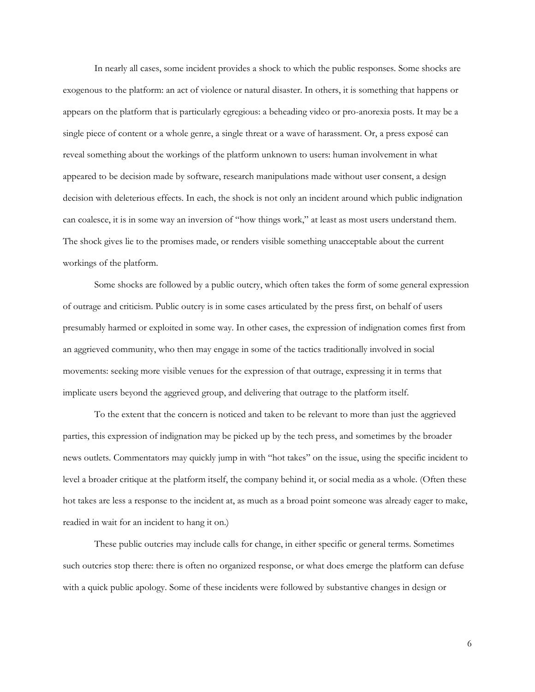In nearly all cases, some incident provides a shock to which the public responses. Some shocks are exogenous to the platform: an act of violence or natural disaster. In others, it is something that happens or appears on the platform that is particularly egregious: a beheading video or pro-anorexia posts. It may be a single piece of content or a whole genre, a single threat or a wave of harassment. Or, a press exposé can reveal something about the workings of the platform unknown to users: human involvement in what appeared to be decision made by software, research manipulations made without user consent, a design decision with deleterious effects. In each, the shock is not only an incident around which public indignation can coalesce, it is in some way an inversion of "how things work," at least as most users understand them. The shock gives lie to the promises made, or renders visible something unacceptable about the current workings of the platform.

Some shocks are followed by a public outcry, which often takes the form of some general expression of outrage and criticism. Public outcry is in some cases articulated by the press first, on behalf of users presumably harmed or exploited in some way. In other cases, the expression of indignation comes first from an aggrieved community, who then may engage in some of the tactics traditionally involved in social movements: seeking more visible venues for the expression of that outrage, expressing it in terms that implicate users beyond the aggrieved group, and delivering that outrage to the platform itself.

To the extent that the concern is noticed and taken to be relevant to more than just the aggrieved parties, this expression of indignation may be picked up by the tech press, and sometimes by the broader news outlets. Commentators may quickly jump in with "hot takes" on the issue, using the specific incident to level a broader critique at the platform itself, the company behind it, or social media as a whole. (Often these hot takes are less a response to the incident at, as much as a broad point someone was already eager to make, readied in wait for an incident to hang it on.)

These public outcries may include calls for change, in either specific or general terms. Sometimes such outcries stop there: there is often no organized response, or what does emerge the platform can defuse with a quick public apology. Some of these incidents were followed by substantive changes in design or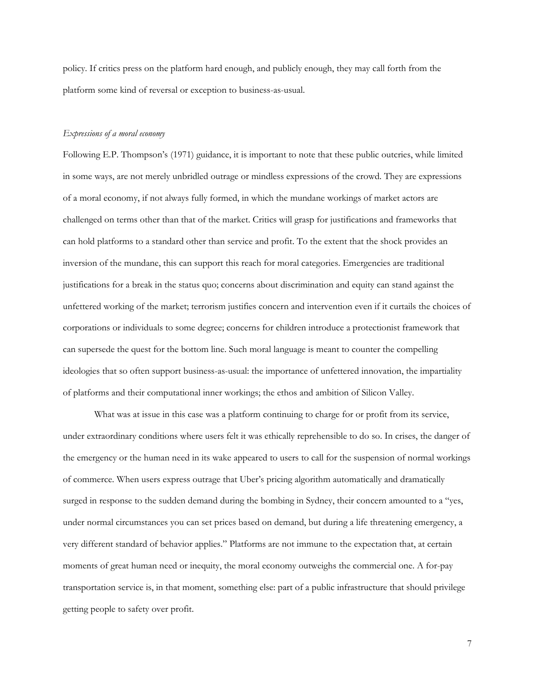policy. If critics press on the platform hard enough, and publicly enough, they may call forth from the platform some kind of reversal or exception to business-as-usual.

### *Expressions of a moral economy*

Following E.P. Thompson's (1971) guidance, it is important to note that these public outcries, while limited in some ways, are not merely unbridled outrage or mindless expressions of the crowd. They are expressions of a moral economy, if not always fully formed, in which the mundane workings of market actors are challenged on terms other than that of the market. Critics will grasp for justifications and frameworks that can hold platforms to a standard other than service and profit. To the extent that the shock provides an inversion of the mundane, this can support this reach for moral categories. Emergencies are traditional justifications for a break in the status quo; concerns about discrimination and equity can stand against the unfettered working of the market; terrorism justifies concern and intervention even if it curtails the choices of corporations or individuals to some degree; concerns for children introduce a protectionist framework that can supersede the quest for the bottom line. Such moral language is meant to counter the compelling ideologies that so often support business-as-usual: the importance of unfettered innovation, the impartiality of platforms and their computational inner workings; the ethos and ambition of Silicon Valley.

What was at issue in this case was a platform continuing to charge for or profit from its service, under extraordinary conditions where users felt it was ethically reprehensible to do so. In crises, the danger of the emergency or the human need in its wake appeared to users to call for the suspension of normal workings of commerce. When users express outrage that Uber's pricing algorithm automatically and dramatically surged in response to the sudden demand during the bombing in Sydney, their concern amounted to a "yes, under normal circumstances you can set prices based on demand, but during a life threatening emergency, a very different standard of behavior applies." Platforms are not immune to the expectation that, at certain moments of great human need or inequity, the moral economy outweighs the commercial one. A for-pay transportation service is, in that moment, something else: part of a public infrastructure that should privilege getting people to safety over profit.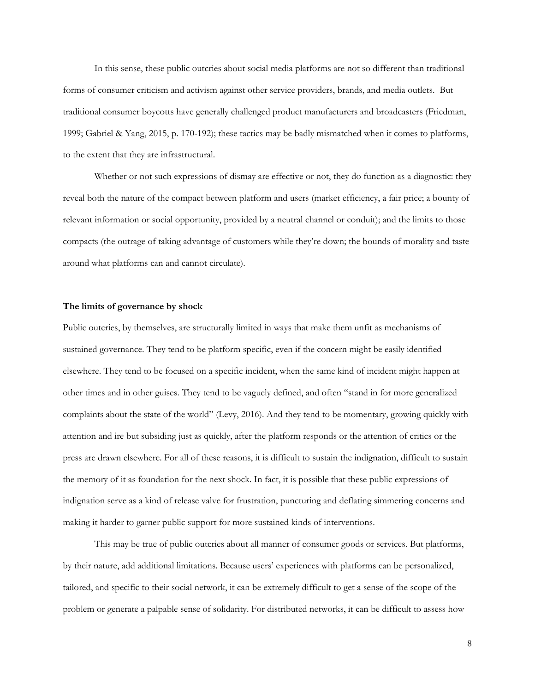In this sense, these public outcries about social media platforms are not so different than traditional forms of consumer criticism and activism against other service providers, brands, and media outlets. But traditional consumer boycotts have generally challenged product manufacturers and broadcasters (Friedman, 1999; Gabriel & Yang, 2015, p. 170-192); these tactics may be badly mismatched when it comes to platforms, to the extent that they are infrastructural.

Whether or not such expressions of dismay are effective or not, they do function as a diagnostic: they reveal both the nature of the compact between platform and users (market efficiency, a fair price; a bounty of relevant information or social opportunity, provided by a neutral channel or conduit); and the limits to those compacts (the outrage of taking advantage of customers while they're down; the bounds of morality and taste around what platforms can and cannot circulate).

## **The limits of governance by shock**

Public outcries, by themselves, are structurally limited in ways that make them unfit as mechanisms of sustained governance. They tend to be platform specific, even if the concern might be easily identified elsewhere. They tend to be focused on a specific incident, when the same kind of incident might happen at other times and in other guises. They tend to be vaguely defined, and often "stand in for more generalized complaints about the state of the world" (Levy, 2016). And they tend to be momentary, growing quickly with attention and ire but subsiding just as quickly, after the platform responds or the attention of critics or the press are drawn elsewhere. For all of these reasons, it is difficult to sustain the indignation, difficult to sustain the memory of it as foundation for the next shock. In fact, it is possible that these public expressions of indignation serve as a kind of release valve for frustration, puncturing and deflating simmering concerns and making it harder to garner public support for more sustained kinds of interventions.

This may be true of public outcries about all manner of consumer goods or services. But platforms, by their nature, add additional limitations. Because users' experiences with platforms can be personalized, tailored, and specific to their social network, it can be extremely difficult to get a sense of the scope of the problem or generate a palpable sense of solidarity. For distributed networks, it can be difficult to assess how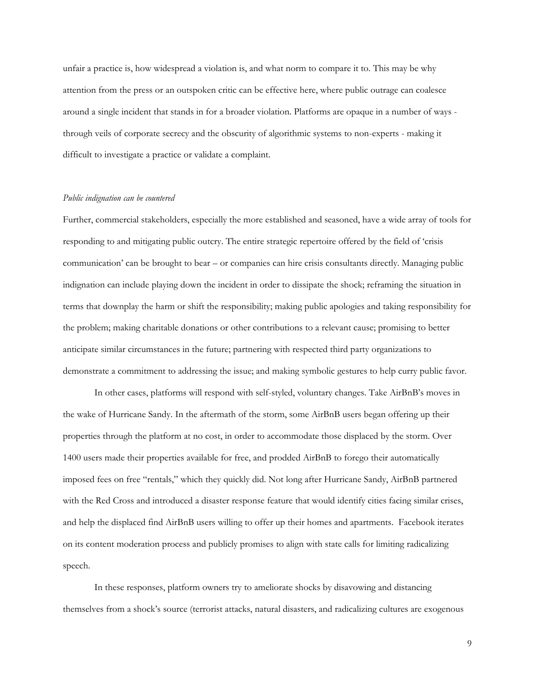unfair a practice is, how widespread a violation is, and what norm to compare it to. This may be why attention from the press or an outspoken critic can be effective here, where public outrage can coalesce around a single incident that stands in for a broader violation. Platforms are opaque in a number of ways through veils of corporate secrecy and the obscurity of algorithmic systems to non-experts - making it difficult to investigate a practice or validate a complaint.

#### *Public indignation can be countered*

Further, commercial stakeholders, especially the more established and seasoned, have a wide array of tools for responding to and mitigating public outcry. The entire strategic repertoire offered by the field of 'crisis communication' can be brought to bear – or companies can hire crisis consultants directly. Managing public indignation can include playing down the incident in order to dissipate the shock; reframing the situation in terms that downplay the harm or shift the responsibility; making public apologies and taking responsibility for the problem; making charitable donations or other contributions to a relevant cause; promising to better anticipate similar circumstances in the future; partnering with respected third party organizations to demonstrate a commitment to addressing the issue; and making symbolic gestures to help curry public favor.

In other cases, platforms will respond with self-styled, voluntary changes. Take AirBnB's moves in the wake of Hurricane Sandy. In the aftermath of the storm, some AirBnB users began offering up their properties through the platform at no cost, in order to accommodate those displaced by the storm. Over 1400 users made their properties available for free, and prodded AirBnB to forego their automatically imposed fees on free "rentals," which they quickly did. Not long after Hurricane Sandy, AirBnB partnered with the Red Cross and introduced a disaster response feature that would identify cities facing similar crises, and help the displaced find AirBnB users willing to offer up their homes and apartments. Facebook iterates on its content moderation process and publicly promises to align with state calls for limiting radicalizing speech.

In these responses, platform owners try to ameliorate shocks by disavowing and distancing themselves from a shock's source (terrorist attacks, natural disasters, and radicalizing cultures are exogenous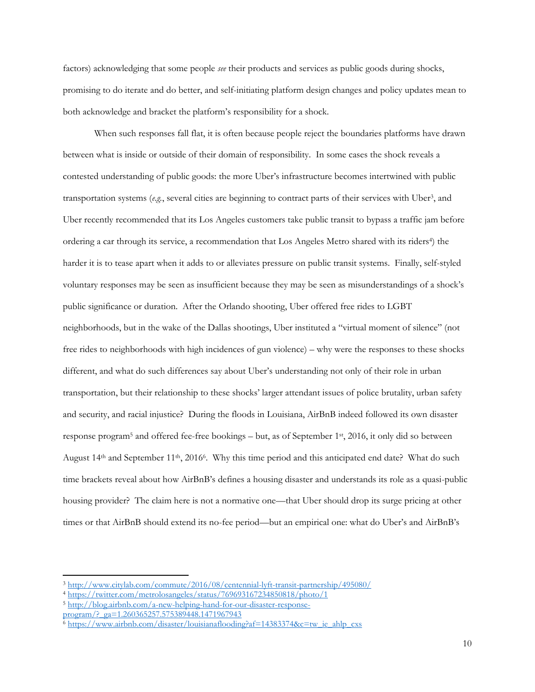factors) acknowledging that some people *see* their products and services as public goods during shocks, promising to do iterate and do better, and self-initiating platform design changes and policy updates mean to both acknowledge and bracket the platform's responsibility for a shock.

When such responses fall flat, it is often because people reject the boundaries platforms have drawn between what is inside or outside of their domain of responsibility. In some cases the shock reveals a contested understanding of public goods: the more Uber's infrastructure becomes intertwined with public transportation systems (e.g., several cities are beginning to contract parts of their services with Uber<sup>3</sup>, and Uber recently recommended that its Los Angeles customers take public transit to bypass a traffic jam before ordering a car through its service, a recommendation that Los Angeles Metro shared with its riders<sup>4</sup>) the harder it is to tease apart when it adds to or alleviates pressure on public transit systems. Finally, self-styled voluntary responses may be seen as insufficient because they may be seen as misunderstandings of a shock's public significance or duration. After the Orlando shooting, Uber offered free rides to LGBT neighborhoods, but in the wake of the Dallas shootings, Uber instituted a "virtual moment of silence" (not free rides to neighborhoods with high incidences of gun violence) – why were the responses to these shocks different, and what do such differences say about Uber's understanding not only of their role in urban transportation, but their relationship to these shocks' larger attendant issues of police brutality, urban safety and security, and racial injustice? During the floods in Louisiana, AirBnB indeed followed its own disaster response program<sup>5</sup> and offered fee-free bookings – but, as of September 1st, 2016, it only did so between August 14<sup>th</sup> and September 11<sup>th</sup>, 2016<sup>6</sup>. Why this time period and this anticipated end date? What do such time brackets reveal about how AirBnB's defines a housing disaster and understands its role as a quasi-public housing provider? The claim here is not a normative one—that Uber should drop its surge pricing at other times or that AirBnB should extend its no-fee period—but an empirical one: what do Uber's and AirBnB's

<sup>3</sup> <http://www.citylab.com/commute/2016/08/centennial-lyft-transit-partnership/495080/>

<sup>4</sup> <https://twitter.com/metrolosangeles/status/769693167234850818/photo/1>

<sup>5</sup> [http://blog.airbnb.com/a-new-helping-hand-for-our-disaster-response](http://blog.airbnb.com/a-new-helping-hand-for-our-disaster-response-program/?_ga=1.260365257.575389448.1471967943)[program/?\\_ga=1.260365257.575389448.1471967943](http://blog.airbnb.com/a-new-helping-hand-for-our-disaster-response-program/?_ga=1.260365257.575389448.1471967943)

 $6$  [https://www.airbnb.com/disaster/louisianaflooding?af=14383374&c=tw\\_ie\\_ahlp\\_cxs](https://www.airbnb.com/disaster/louisianaflooding?af=14383374&c=tw_ie_ahlp_cxs)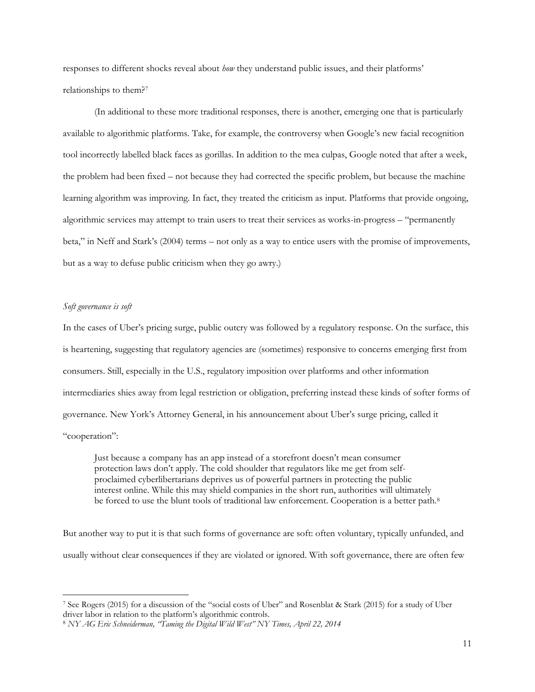responses to different shocks reveal about *how* they understand public issues, and their platforms' relationships to them?<sup>7</sup>

(In additional to these more traditional responses, there is another, emerging one that is particularly available to algorithmic platforms. Take, for example, the controversy when Google's new facial recognition tool incorrectly labelled black faces as gorillas. In addition to the mea culpas, Google noted that after a week, the problem had been fixed – not because they had corrected the specific problem, but because the machine learning algorithm was improving. In fact, they treated the criticism as input. Platforms that provide ongoing, algorithmic services may attempt to train users to treat their services as works-in-progress – "permanently beta," in Neff and Stark's (2004) terms – not only as a way to entice users with the promise of improvements, but as a way to defuse public criticism when they go awry.)

## *Soft governance is soft*

 $\overline{\phantom{a}}$ 

In the cases of Uber's pricing surge, public outcry was followed by a regulatory response. On the surface, this is heartening, suggesting that regulatory agencies are (sometimes) responsive to concerns emerging first from consumers. Still, especially in the U.S., regulatory imposition over platforms and other information intermediaries shies away from legal restriction or obligation, preferring instead these kinds of softer forms of governance. New York's Attorney General, in his announcement about Uber's surge pricing, called it "cooperation":

Just because a company has an app instead of a storefront doesn't mean consumer protection laws don't apply. The cold shoulder that regulators like me get from selfproclaimed cyberlibertarians deprives us of powerful partners in protecting the public interest online. While this may shield companies in the short run, authorities will ultimately be forced to use the blunt tools of traditional law enforcement. Cooperation is a better path.<sup>8</sup>

But another way to put it is that such forms of governance are soft: often voluntary, typically unfunded, and usually without clear consequences if they are violated or ignored. With soft governance, there are often few

<sup>7</sup> See Rogers (2015) for a discussion of the "social costs of Uber" and Rosenblat & Stark (2015) for a study of Uber driver labor in relation to the platform's algorithmic controls.

<sup>8</sup> *NY AG Eric Schneiderman, "Taming the Digital Wild West" NY Times, April 22, 2014*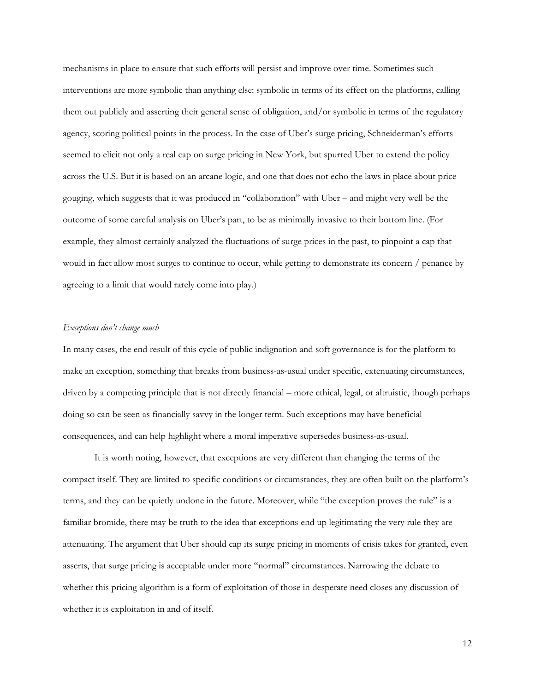mechanisms in place to ensure that such efforts will persist and improve over time. Sometimes such interventions are more symbolic than anything else: symbolic in terms of its effect on the platforms, calling them out publicly and asserting their general sense of obligation, and/or symbolic in terms of the regulatory agency, scoring political points in the process. In the case of Uber's surge pricing, Schneiderman's efforts seemed to elicit not only a real cap on surge pricing in New York, but spurred Uber to extend the policy across the U.S. But it is based on an arcane logic, and one that does not echo the laws in place about price gouging, which suggests that it was produced in "collaboration" with Uber – and might very well be the outcome of some careful analysis on Uber's part, to be as minimally invasive to their bottom line. (For example, they almost certainly analyzed the fluctuations of surge prices in the past, to pinpoint a cap that would in fact allow most surges to continue to occur, while getting to demonstrate its concern / penance by agreeing to a limit that would rarely come into play.)

## *Exceptions don't change much*

In many cases, the end result of this cycle of public indignation and soft governance is for the platform to make an exception, something that breaks from business-as-usual under specific, extenuating circumstances, driven by a competing principle that is not directly financial – more ethical, legal, or altruistic, though perhaps doing so can be seen as financially savvy in the longer term. Such exceptions may have beneficial consequences, and can help highlight where a moral imperative supersedes business-as-usual.

It is worth noting, however, that exceptions are very different than changing the terms of the compact itself. They are limited to specific conditions or circumstances, they are often built on the platform's terms, and they can be quietly undone in the future. Moreover, while "the exception proves the rule" is a familiar bromide, there may be truth to the idea that exceptions end up legitimating the very rule they are attenuating. The argument that Uber should cap its surge pricing in moments of crisis takes for granted, even asserts, that surge pricing is acceptable under more "normal" circumstances. Narrowing the debate to whether this pricing algorithm is a form of exploitation of those in desperate need closes any discussion of whether it is exploitation in and of itself.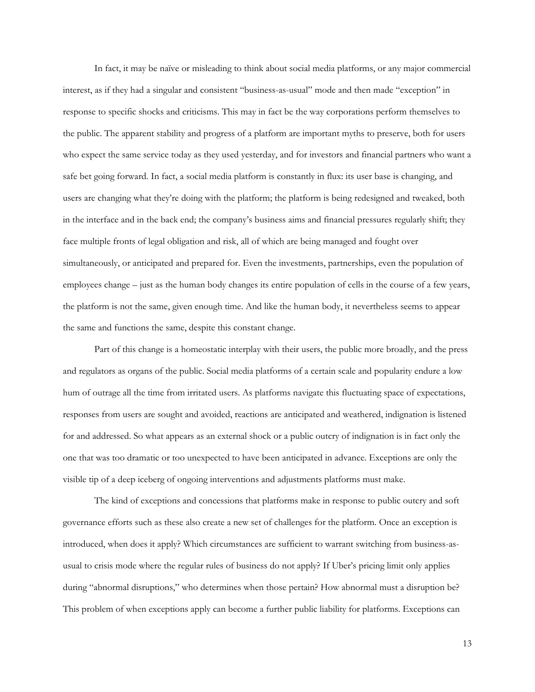In fact, it may be naïve or misleading to think about social media platforms, or any major commercial interest, as if they had a singular and consistent "business-as-usual" mode and then made "exception" in response to specific shocks and criticisms. This may in fact be the way corporations perform themselves to the public. The apparent stability and progress of a platform are important myths to preserve, both for users who expect the same service today as they used yesterday, and for investors and financial partners who want a safe bet going forward. In fact, a social media platform is constantly in flux: its user base is changing, and users are changing what they're doing with the platform; the platform is being redesigned and tweaked, both in the interface and in the back end; the company's business aims and financial pressures regularly shift; they face multiple fronts of legal obligation and risk, all of which are being managed and fought over simultaneously, or anticipated and prepared for. Even the investments, partnerships, even the population of employees change – just as the human body changes its entire population of cells in the course of a few years, the platform is not the same, given enough time. And like the human body, it nevertheless seems to appear the same and functions the same, despite this constant change.

Part of this change is a homeostatic interplay with their users, the public more broadly, and the press and regulators as organs of the public. Social media platforms of a certain scale and popularity endure a low hum of outrage all the time from irritated users. As platforms navigate this fluctuating space of expectations, responses from users are sought and avoided, reactions are anticipated and weathered, indignation is listened for and addressed. So what appears as an external shock or a public outcry of indignation is in fact only the one that was too dramatic or too unexpected to have been anticipated in advance. Exceptions are only the visible tip of a deep iceberg of ongoing interventions and adjustments platforms must make.

The kind of exceptions and concessions that platforms make in response to public outcry and soft governance efforts such as these also create a new set of challenges for the platform. Once an exception is introduced, when does it apply? Which circumstances are sufficient to warrant switching from business-asusual to crisis mode where the regular rules of business do not apply? If Uber's pricing limit only applies during "abnormal disruptions," who determines when those pertain? How abnormal must a disruption be? This problem of when exceptions apply can become a further public liability for platforms. Exceptions can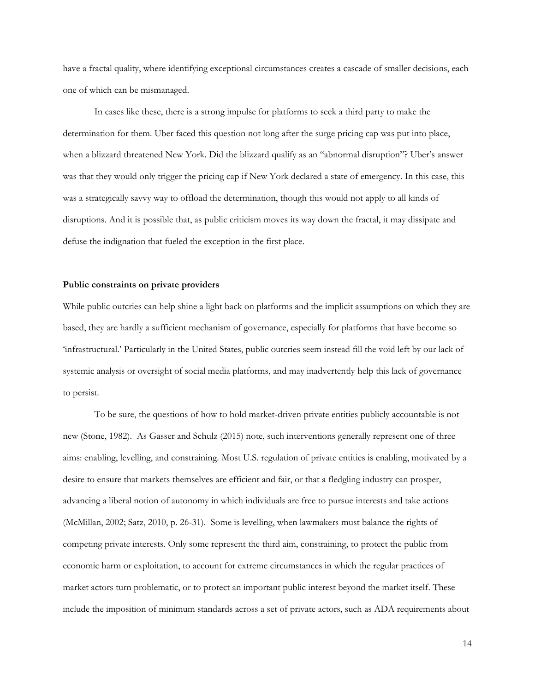have a fractal quality, where identifying exceptional circumstances creates a cascade of smaller decisions, each one of which can be mismanaged.

In cases like these, there is a strong impulse for platforms to seek a third party to make the determination for them. Uber faced this question not long after the surge pricing cap was put into place, when a blizzard threatened New York. Did the blizzard qualify as an "abnormal disruption"? Uber's answer was that they would only trigger the pricing cap if New York declared a state of emergency. In this case, this was a strategically savvy way to offload the determination, though this would not apply to all kinds of disruptions. And it is possible that, as public criticism moves its way down the fractal, it may dissipate and defuse the indignation that fueled the exception in the first place.

#### **Public constraints on private providers**

While public outcries can help shine a light back on platforms and the implicit assumptions on which they are based, they are hardly a sufficient mechanism of governance, especially for platforms that have become so 'infrastructural.' Particularly in the United States, public outcries seem instead fill the void left by our lack of systemic analysis or oversight of social media platforms, and may inadvertently help this lack of governance to persist.

To be sure, the questions of how to hold market-driven private entities publicly accountable is not new (Stone, 1982). As Gasser and Schulz (2015) note, such interventions generally represent one of three aims: enabling, levelling, and constraining. Most U.S. regulation of private entities is enabling, motivated by a desire to ensure that markets themselves are efficient and fair, or that a fledgling industry can prosper, advancing a liberal notion of autonomy in which individuals are free to pursue interests and take actions (McMillan, 2002; Satz, 2010, p. 26-31). Some is levelling, when lawmakers must balance the rights of competing private interests. Only some represent the third aim, constraining, to protect the public from economic harm or exploitation, to account for extreme circumstances in which the regular practices of market actors turn problematic, or to protect an important public interest beyond the market itself. These include the imposition of minimum standards across a set of private actors, such as ADA requirements about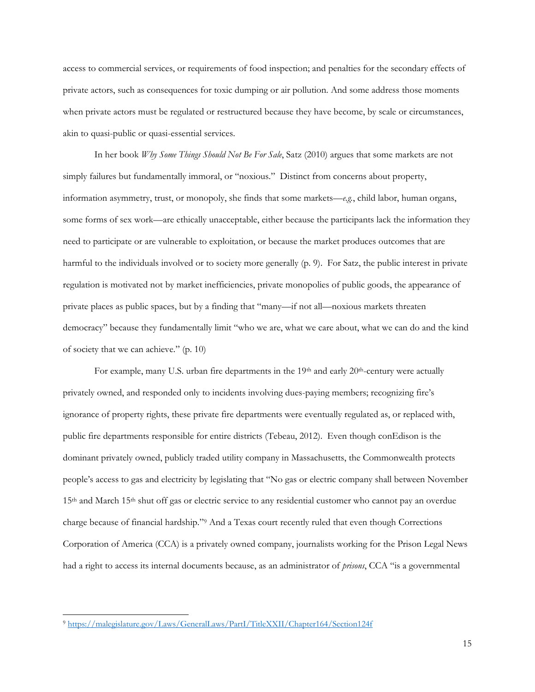access to commercial services, or requirements of food inspection; and penalties for the secondary effects of private actors, such as consequences for toxic dumping or air pollution. And some address those moments when private actors must be regulated or restructured because they have become, by scale or circumstances, akin to quasi-public or quasi-essential services.

In her book *Why Some Things Should Not Be For Sale*, Satz (2010) argues that some markets are not simply failures but fundamentally immoral, or "noxious." Distinct from concerns about property, information asymmetry, trust, or monopoly, she finds that some markets—*e.g.*, child labor, human organs, some forms of sex work—are ethically unacceptable, either because the participants lack the information they need to participate or are vulnerable to exploitation, or because the market produces outcomes that are harmful to the individuals involved or to society more generally (p. 9). For Satz, the public interest in private regulation is motivated not by market inefficiencies, private monopolies of public goods, the appearance of private places as public spaces, but by a finding that "many—if not all—noxious markets threaten democracy" because they fundamentally limit "who we are, what we care about, what we can do and the kind of society that we can achieve." (p. 10)

For example, many U.S. urban fire departments in the  $19<sup>th</sup>$  and early  $20<sup>th</sup>$ -century were actually privately owned, and responded only to incidents involving dues-paying members; recognizing fire's ignorance of property rights, these private fire departments were eventually regulated as, or replaced with, public fire departments responsible for entire districts (Tebeau, 2012). Even though conEdison is the dominant privately owned, publicly traded utility company in Massachusetts, the Commonwealth protects people's access to gas and electricity by legislating that "No gas or electric company shall between November 15th and March 15th shut off gas or electric service to any residential customer who cannot pay an overdue charge because of financial hardship."<sup>9</sup> And a Texas court recently ruled that even though Corrections Corporation of America (CCA) is a privately owned company, journalists working for the Prison Legal News had a right to access its internal documents because, as an administrator of *prisons*, CCA "is a governmental

<sup>9</sup> <https://malegislature.gov/Laws/GeneralLaws/PartI/TitleXXII/Chapter164/Section124f>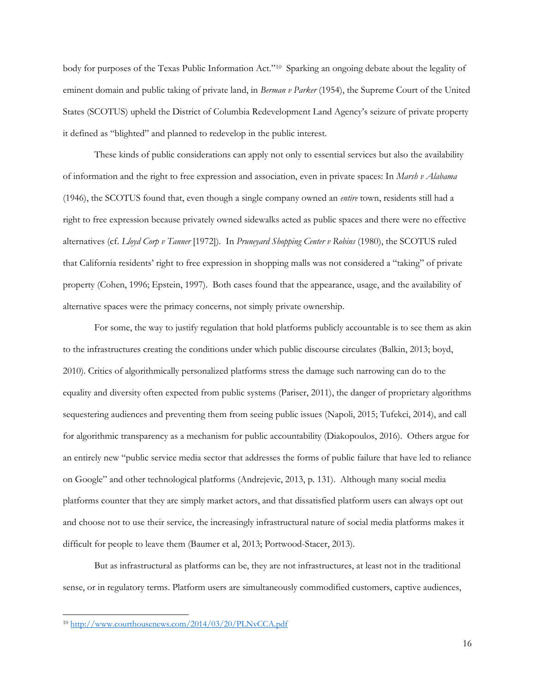body for purposes of the Texas Public Information Act."<sup>10</sup> Sparking an ongoing debate about the legality of eminent domain and public taking of private land, in *Berman v Parker* (1954), the Supreme Court of the United States (SCOTUS) upheld the District of Columbia Redevelopment Land Agency's seizure of private property it defined as "blighted" and planned to redevelop in the public interest.

These kinds of public considerations can apply not only to essential services but also the availability of information and the right to free expression and association, even in private spaces: In *Marsh v Alabama* (1946), the SCOTUS found that, even though a single company owned an *entire* town, residents still had a right to free expression because privately owned sidewalks acted as public spaces and there were no effective alternatives (cf. *Lloyd Corp v Tanner* [1972]). In *Pruneyard Shopping Center v Robins* (1980), the SCOTUS ruled that California residents' right to free expression in shopping malls was not considered a "taking" of private property (Cohen, 1996; Epstein, 1997). Both cases found that the appearance, usage, and the availability of alternative spaces were the primacy concerns, not simply private ownership.

For some, the way to justify regulation that hold platforms publicly accountable is to see them as akin to the infrastructures creating the conditions under which public discourse circulates (Balkin, 2013; boyd, 2010). Critics of algorithmically personalized platforms stress the damage such narrowing can do to the equality and diversity often expected from public systems (Pariser, 2011), the danger of proprietary algorithms sequestering audiences and preventing them from seeing public issues (Napoli, 2015; Tufekci, 2014), and call for algorithmic transparency as a mechanism for public accountability (Diakopoulos, 2016). Others argue for an entirely new "public service media sector that addresses the forms of public failure that have led to reliance on Google" and other technological platforms (Andrejevic, 2013, p. 131). Although many social media platforms counter that they are simply market actors, and that dissatisfied platform users can always opt out and choose not to use their service, the increasingly infrastructural nature of social media platforms makes it difficult for people to leave them (Baumer et al, 2013; Portwood-Stacer, 2013).

But as infrastructural as platforms can be, they are not infrastructures, at least not in the traditional sense, or in regulatory terms. Platform users are simultaneously commodified customers, captive audiences,

<sup>10</sup> <http://www.courthousenews.com/2014/03/20/PLNvCCA.pdf>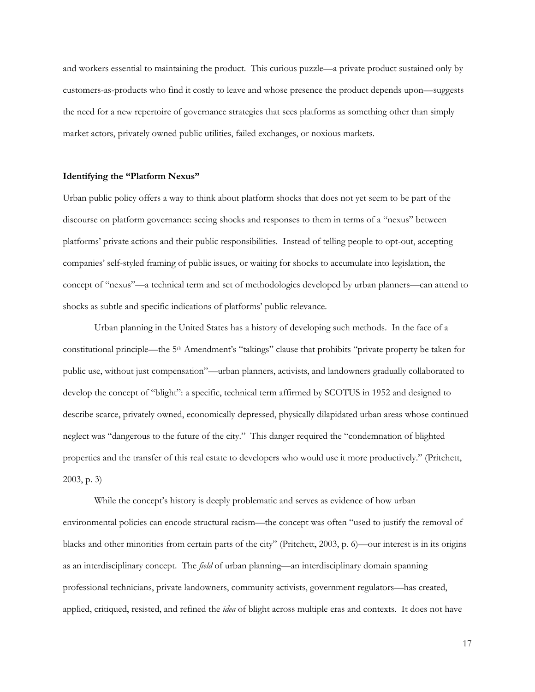and workers essential to maintaining the product. This curious puzzle—a private product sustained only by customers-as-products who find it costly to leave and whose presence the product depends upon—suggests the need for a new repertoire of governance strategies that sees platforms as something other than simply market actors, privately owned public utilities, failed exchanges, or noxious markets.

## **Identifying the "Platform Nexus"**

Urban public policy offers a way to think about platform shocks that does not yet seem to be part of the discourse on platform governance: seeing shocks and responses to them in terms of a "nexus" between platforms' private actions and their public responsibilities. Instead of telling people to opt-out, accepting companies' self-styled framing of public issues, or waiting for shocks to accumulate into legislation, the concept of "nexus"—a technical term and set of methodologies developed by urban planners—can attend to shocks as subtle and specific indications of platforms' public relevance.

Urban planning in the United States has a history of developing such methods. In the face of a constitutional principle—the 5th Amendment's "takings" clause that prohibits "private property be taken for public use, without just compensation"—urban planners, activists, and landowners gradually collaborated to develop the concept of "blight": a specific, technical term affirmed by SCOTUS in 1952 and designed to describe scarce, privately owned, economically depressed, physically dilapidated urban areas whose continued neglect was "dangerous to the future of the city." This danger required the "condemnation of blighted properties and the transfer of this real estate to developers who would use it more productively." (Pritchett, 2003, p. 3)

While the concept's history is deeply problematic and serves as evidence of how urban environmental policies can encode structural racism—the concept was often "used to justify the removal of blacks and other minorities from certain parts of the city" (Pritchett, 2003, p. 6)—our interest is in its origins as an interdisciplinary concept. The *field* of urban planning—an interdisciplinary domain spanning professional technicians, private landowners, community activists, government regulators—has created, applied, critiqued, resisted, and refined the *idea* of blight across multiple eras and contexts. It does not have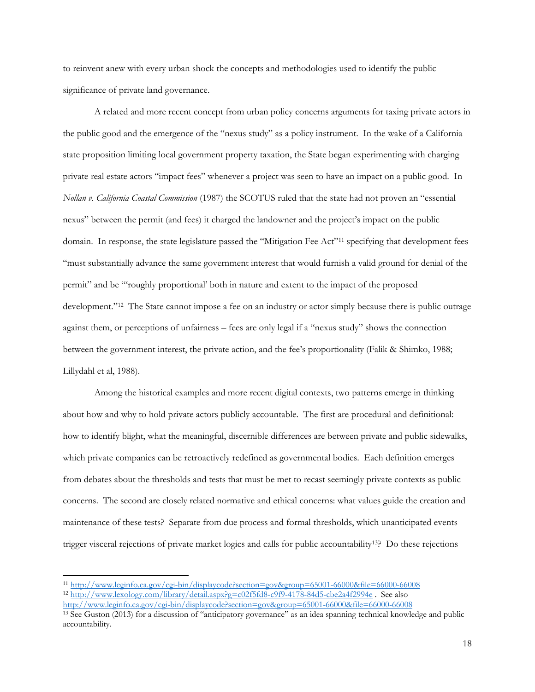to reinvent anew with every urban shock the concepts and methodologies used to identify the public significance of private land governance.

A related and more recent concept from urban policy concerns arguments for taxing private actors in the public good and the emergence of the "nexus study" as a policy instrument. In the wake of a California state proposition limiting local government property taxation, the State began experimenting with charging private real estate actors "impact fees" whenever a project was seen to have an impact on a public good. In *Nollan v. California Coastal Commission* (1987) the SCOTUS ruled that the state had not proven an "essential nexus" between the permit (and fees) it charged the landowner and the project's impact on the public domain. In response, the state legislature passed the "Mitigation Fee Act"<sup>11</sup> specifying that development fees "must substantially advance the same government interest that would furnish a valid ground for denial of the permit" and be "'roughly proportional' both in nature and extent to the impact of the proposed development."<sup>12</sup> The State cannot impose a fee on an industry or actor simply because there is public outrage against them, or perceptions of unfairness – fees are only legal if a "nexus study" shows the connection between the government interest, the private action, and the fee's proportionality (Falik & Shimko, 1988; Lillydahl et al, 1988).

Among the historical examples and more recent digital contexts, two patterns emerge in thinking about how and why to hold private actors publicly accountable. The first are procedural and definitional: how to identify blight, what the meaningful, discernible differences are between private and public sidewalks, which private companies can be retroactively redefined as governmental bodies. Each definition emerges from debates about the thresholds and tests that must be met to recast seemingly private contexts as public concerns. The second are closely related normative and ethical concerns: what values guide the creation and maintenance of these tests? Separate from due process and formal thresholds, which unanticipated events trigger visceral rejections of private market logics and calls for public accountability13? Do these rejections

<sup>11</sup> <http://www.leginfo.ca.gov/cgi-bin/displaycode?section=gov&group=65001-66000&file=66000-66008> <sup>12</sup> <http://www.lexology.com/library/detail.aspx?g=c02f5fd8-c9f9-4178-84d5-cbe2a4f2994e> . See also

<http://www.leginfo.ca.gov/cgi-bin/displaycode?section=gov&group=65001-66000&file=66000-66008>

<sup>13</sup> See Guston (2013) for a discussion of "anticipatory governance" as an idea spanning technical knowledge and public accountability.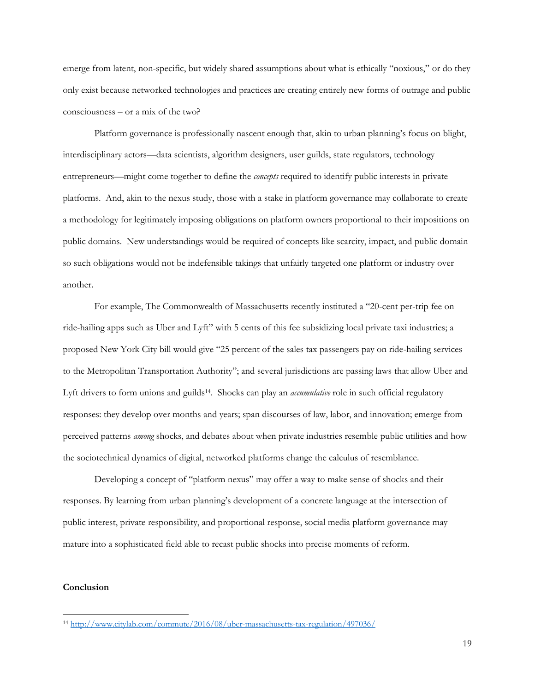emerge from latent, non-specific, but widely shared assumptions about what is ethically "noxious," or do they only exist because networked technologies and practices are creating entirely new forms of outrage and public consciousness – or a mix of the two?

Platform governance is professionally nascent enough that, akin to urban planning's focus on blight, interdisciplinary actors—data scientists, algorithm designers, user guilds, state regulators, technology entrepreneurs—might come together to define the *concepts* required to identify public interests in private platforms. And, akin to the nexus study, those with a stake in platform governance may collaborate to create a methodology for legitimately imposing obligations on platform owners proportional to their impositions on public domains. New understandings would be required of concepts like scarcity, impact, and public domain so such obligations would not be indefensible takings that unfairly targeted one platform or industry over another.

For example, The Commonwealth of Massachusetts recently instituted a "20-cent per-trip fee on ride-hailing apps such as Uber and Lyft" with 5 cents of this fee subsidizing local private taxi industries; a proposed New York City bill would give "25 percent of the sales tax passengers pay on ride-hailing services to the Metropolitan Transportation Authority"; and several jurisdictions are passing laws that allow Uber and Lyft drivers to form unions and guilds14. Shocks can play an *accumulative* role in such official regulatory responses: they develop over months and years; span discourses of law, labor, and innovation; emerge from perceived patterns *among* shocks, and debates about when private industries resemble public utilities and how the sociotechnical dynamics of digital, networked platforms change the calculus of resemblance.

Developing a concept of "platform nexus" may offer a way to make sense of shocks and their responses. By learning from urban planning's development of a concrete language at the intersection of public interest, private responsibility, and proportional response, social media platform governance may mature into a sophisticated field able to recast public shocks into precise moments of reform.

## **Conclusion**

<sup>14</sup> <http://www.citylab.com/commute/2016/08/uber-massachusetts-tax-regulation/497036/>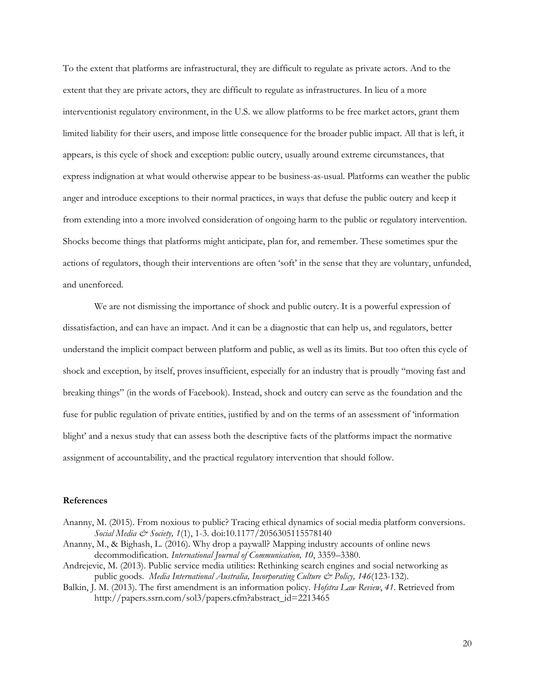To the extent that platforms are infrastructural, they are difficult to regulate as private actors. And to the extent that they are private actors, they are difficult to regulate as infrastructures. In lieu of a more interventionist regulatory environment, in the U.S. we allow platforms to be free market actors, grant them limited liability for their users, and impose little consequence for the broader public impact. All that is left, it appears, is this cycle of shock and exception: public outcry, usually around extreme circumstances, that express indignation at what would otherwise appear to be business-as-usual. Platforms can weather the public anger and introduce exceptions to their normal practices, in ways that defuse the public outcry and keep it from extending into a more involved consideration of ongoing harm to the public or regulatory intervention. Shocks become things that platforms might anticipate, plan for, and remember. These sometimes spur the actions of regulators, though their interventions are often 'soft' in the sense that they are voluntary, unfunded, and unenforced.

We are not dismissing the importance of shock and public outcry. It is a powerful expression of dissatisfaction, and can have an impact. And it can be a diagnostic that can help us, and regulators, better understand the implicit compact between platform and public, as well as its limits. But too often this cycle of shock and exception, by itself, proves insufficient, especially for an industry that is proudly "moving fast and breaking things" (in the words of Facebook). Instead, shock and outcry can serve as the foundation and the fuse for public regulation of private entities, justified by and on the terms of an assessment of 'information blight' and a nexus study that can assess both the descriptive facts of the platforms impact the normative assignment of accountability, and the practical regulatory intervention that should follow.

## **References**

- Ananny, M. (2015). From noxious to public? Tracing ethical dynamics of social media platform conversions. *Social Media & Society, 1*(1), 1-3. doi:10.1177/2056305115578140
- Ananny, M., & Bighash, L. (2016). Why drop a paywall? Mapping industry accounts of online news decommodification. *International Journal of Communication, 10*, 3359–3380.
- Andrejevic, M. (2013). Public service media utilities: Rethinking search engines and social networking as public goods. *Media International Australia*, Incorporating Culture & Policy, 146(123-132).
- Balkin, J. M. (2013). The first amendment is an information policy. *Hofstra Law Review*, *41*. Retrieved from http://papers.ssrn.com/sol3/papers.cfm?abstract\_id=2213465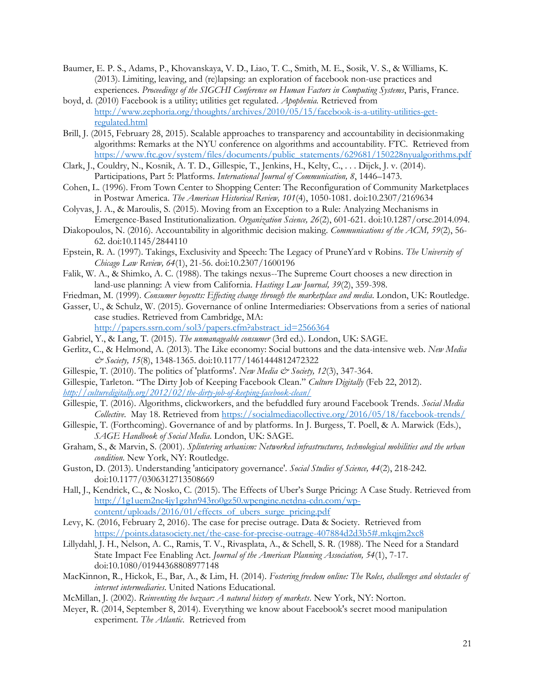- Baumer, E. P. S., Adams, P., Khovanskaya, V. D., Liao, T. C., Smith, M. E., Sosik, V. S., & Williams, K. (2013). Limiting, leaving, and (re)lapsing: an exploration of facebook non-use practices and experiences. *Proceedings of the SIGCHI Conference on Human Factors in Computing Systems*, Paris, France.
- boyd, d. (2010) Facebook is a utility; utilities get regulated. *Apophenia.* Retrieved from [http://www.zephoria.org/thoughts/archives/2010/05/15/facebook-is-a-utility-utilities-get](http://www.zephoria.org/thoughts/archives/2010/05/15/facebook-is-a-utility-utilities-get-regulated.html)[regulated.html](http://www.zephoria.org/thoughts/archives/2010/05/15/facebook-is-a-utility-utilities-get-regulated.html)
- Brill, J. (2015, February 28, 2015). Scalable approaches to transparency and accountability in decisionmaking algorithms: Remarks at the NYU conference on algorithms and accountability. FTC. Retrieved from [https://www.ftc.gov/system/files/documents/public\\_statements/629681/150228nyualgorithms.pdf](https://www.ftc.gov/system/files/documents/public_statements/629681/150228nyualgorithms.pdf)
- Clark, J., Couldry, N., Kosnik, A. T. D., Gillespie, T., Jenkins, H., Kelty, C., . . . Dijck, J. v. (2014). Participations, Part 5: Platforms. *International Journal of Communication, 8*, 1446–1473.
- Cohen, L. (1996). From Town Center to Shopping Center: The Reconfiguration of Community Marketplaces in Postwar America. *The American Historical Review, 101*(4), 1050-1081. doi:10.2307/2169634
- Colyvas, J. A., & Maroulis, S. (2015). Moving from an Exception to a Rule: Analyzing Mechanisms in Emergence-Based Institutionalization. *Organization Science, 26*(2), 601-621. doi:10.1287/orsc.2014.094.
- Diakopoulos, N. (2016). Accountability in algorithmic decision making. *Communications of the ACM, 59*(2), 56- 62. doi:10.1145/2844110
- Epstein, R. A. (1997). Takings, Exclusivity and Speech: The Legacy of PruneYard v Robins. *The University of Chicago Law Review, 64*(1), 21-56. doi:10.2307/1600196
- Falik, W. A., & Shimko, A. C. (1988). The takings nexus--The Supreme Court chooses a new direction in land-use planning: A view from California. *Hastings Law Journal, 39*(2), 359-398.
- Friedman, M. (1999). *Consumer boycotts: Effecting change through the marketplace and media*. London, UK: Routledge.
- Gasser, U., & Schulz, W. (2015). Governance of online Intermediaries: Observations from a series of national case studies. Retrieved from Cambridge, MA: [http://papers.ssrn.com/sol3/papers.cfm?abstract\\_id=2566364](http://papers.ssrn.com/sol3/papers.cfm?abstract_id=2566364)
- Gabriel, Y., & Lang, T. (2015). *The unmanageable consumer* (3rd ed.). London, UK: SAGE.
- Gerlitz, C., & Helmond, A. (2013). The Like economy: Social buttons and the data-intensive web. *New Media & Society, 15*(8), 1348-1365. doi:10.1177/1461444812472322
- Gillespie, T. (2010). The politics of 'platforms'. *New Media & Society*, 12(3), 347-364.
- Gillespie, Tarleton. "The Dirty Job of Keeping Facebook Clean." *Culture Digitally* (Feb 22, 2012).

*<http://culturedigitally.org/2012/02/the-dirty-job-of-keeping-facebook-clean/>*

- Gillespie, T. (2016). Algorithms, clickworkers, and the befuddled fury around Facebook Trends. *Social Media Collective*. May 18. Retrieved from<https://socialmediacollective.org/2016/05/18/facebook-trends/>
- Gillespie, T. (Forthcoming). Governance of and by platforms. In J. Burgess, T. Poell, & A. Marwick (Eds.), *SAGE Handbook of Social Media*. London, UK: SAGE.
- Graham, S., & Marvin, S. (2001). *Splintering urbanism: Networked infrastructures, technological mobilities and the urban condition*. New York, NY: Routledge.
- Guston, D. (2013). Understanding 'anticipatory governance'. *Social Studies of Science, 44*(2), 218-242. doi:10.1177/0306312713508669
- Hall, J., Kendrick, C., & Nosko, C. (2015). The Effects of Uber's Surge Pricing: A Case Study. Retrieved from [http://1g1uem2nc4jy1gzhn943ro0gz50.wpengine.netdna-cdn.com/wp](http://1g1uem2nc4jy1gzhn943ro0gz50.wpengine.netdna-cdn.com/wp-content/uploads/2016/01/effects_of_ubers_surge_pricing.pdf)[content/uploads/2016/01/effects\\_of\\_ubers\\_surge\\_pricing.pdf](http://1g1uem2nc4jy1gzhn943ro0gz50.wpengine.netdna-cdn.com/wp-content/uploads/2016/01/effects_of_ubers_surge_pricing.pdf)
- Levy, K. (2016, February 2, 2016). The case for precise outrage. Data & Society. Retrieved from <https://points.datasociety.net/the-case-for-precise-outrage-407884d2d3b5#.mkqjm2xc8>
- Lillydahl, J. H., Nelson, A. C., Ramis, T. V., Rivasplata, A., & Schell, S. R. (1988). The Need for a Standard State Impact Fee Enabling Act. *Journal of the American Planning Association, 54*(1), 7-17. doi:10.1080/01944368808977148
- MacKinnon, R., Hickok, E., Bar, A., & Lim, H. (2014). *Fostering freedom online: The Roles, challenges and obstacles of internet intermediaries*. United Nations Educational.
- McMillan, J. (2002). *Reinventing the bazaar: A natural history of markets*. New York, NY: Norton.
- Meyer, R. (2014, September 8, 2014). Everything we know about Facebook's secret mood manipulation experiment. *The Atlantic*. Retrieved from